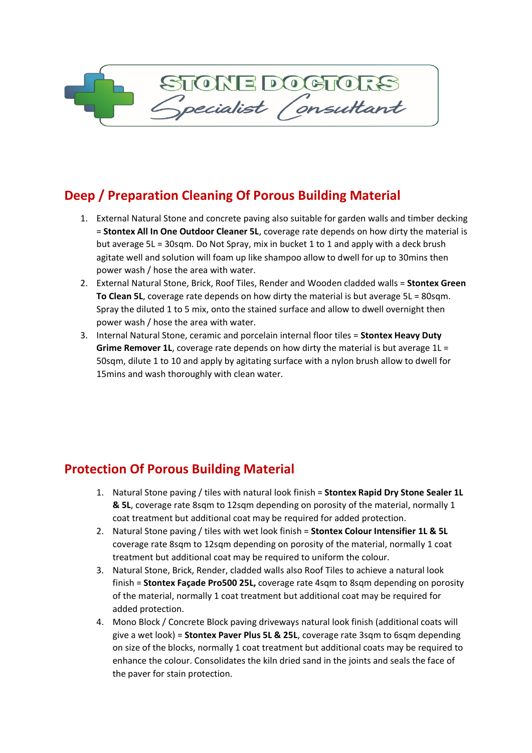## **Deep / Preparation Cleaning Of Porous Building Material**

- 1. External Natural Stone and concrete paving also suitable for garden walls and timber decking = **Stontex All In One Outdoor Cleaner 5L**, coverage rate depends on how dirty the material is but average 5L = 30sqm. Do Not Spray, mix in bucket 1 to 1 and apply with a deck brush agitate well and solution will foam up like shampoo allow to dwell for up to 30mins then power wash / hose the area with water.
- 2. External Natural Stone, Brick, Roof Tiles, Render and Wooden cladded walls = **Stontex Green To Clean 5L**, coverage rate depends on how dirty the material is but average 5L = 80sqm. Spray the diluted 1 to 5 mix, onto the stained surface and allow to dwell overnight then power wash / hose the area with water.
- 3. Internal Natural Stone, ceramic and porcelain internal floor tiles = **Stontex Heavy Duty Grime Remover 1L**, coverage rate depends on how dirty the material is but average 1L = 50sqm, dilute 1 to 10 and apply by agitating surface with a nylon brush allow to dwell for 15mins and wash thoroughly with clean water.

## **Protection Of Porous Building Material**

- 1. Natural Stone paving / tiles with natural look finish = **Stontex Rapid Dry Stone Sealer 1L & 5L**, coverage rate 8sqm to 12sqm depending on porosity of the material, normally 1 coat treatment but additional coat may be required for added protection.
- 2. Natural Stone paving / tiles with wet look finish = **Stontex Colour Intensifier 1L & 5L**  coverage rate 8sqm to 12sqm depending on porosity of the material, normally 1 coat treatment but additional coat may be required to uniform the colour.
- 3. Natural Stone, Brick, Render, cladded walls also Roof Tiles to achieve a natural look finish = **Stontex Façade Pro500 25L,** coverage rate 4sqm to 8sqm depending on porosity of the material, normally 1 coat treatment but additional coat may be required for added protection.
- 4. Mono Block / Concrete Block paving driveways natural look finish (additional coats will give a wet look) = **Stontex Paver Plus 5L & 25L**, coverage rate 3sqm to 6sqm depending on size of the blocks, normally 1 coat treatment but additional coats may be required to enhance the colour. Consolidates the kiln dried sand in the joints and seals the face of the paver for stain protection.